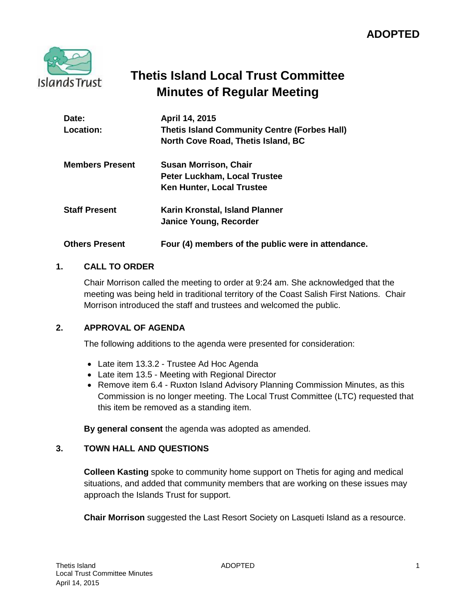

# **Thetis Island Local Trust Committee Minutes of Regular Meeting**

| Date:<br>Location:     | April 14, 2015<br><b>Thetis Island Community Centre (Forbes Hall)</b><br>North Cove Road, Thetis Island, BC |
|------------------------|-------------------------------------------------------------------------------------------------------------|
| <b>Members Present</b> | <b>Susan Morrison, Chair</b><br><b>Peter Luckham, Local Trustee</b>                                         |
|                        | Ken Hunter, Local Trustee                                                                                   |
| <b>Staff Present</b>   | Karin Kronstal, Island Planner<br>Janice Young, Recorder                                                    |
| <b>Others Present</b>  | Four (4) members of the public were in attendance.                                                          |

## **1. CALL TO ORDER**

Chair Morrison called the meeting to order at 9:24 am. She acknowledged that the meeting was being held in traditional territory of the Coast Salish First Nations. Chair Morrison introduced the staff and trustees and welcomed the public.

## **2. APPROVAL OF AGENDA**

The following additions to the agenda were presented for consideration:

- Late item 13.3.2 Trustee Ad Hoc Agenda
- Late item 13.5 Meeting with Regional Director
- Remove item 6.4 Ruxton Island Advisory Planning Commission Minutes, as this Commission is no longer meeting. The Local Trust Committee (LTC) requested that this item be removed as a standing item.

**By general consent** the agenda was adopted as amended.

## **3. TOWN HALL AND QUESTIONS**

**Colleen Kasting** spoke to community home support on Thetis for aging and medical situations, and added that community members that are working on these issues may approach the Islands Trust for support.

**Chair Morrison** suggested the Last Resort Society on Lasqueti Island as a resource.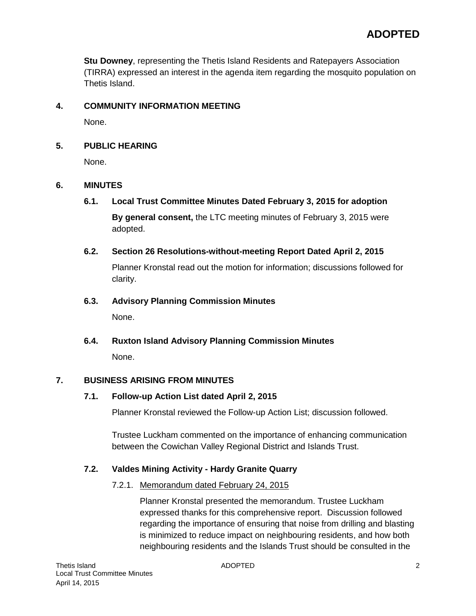**Stu Downey**, representing the Thetis Island Residents and Ratepayers Association (TIRRA) expressed an interest in the agenda item regarding the mosquito population on Thetis Island.

# **4. COMMUNITY INFORMATION MEETING**

None.

# **5. PUBLIC HEARING**

None.

# **6. MINUTES**

**6.1. Local Trust Committee Minutes Dated February 3, 2015 for adoption**

**By general consent,** the LTC meeting minutes of February 3, 2015 were adopted.

## **6.2. Section 26 Resolutions-without-meeting Report Dated April 2, 2015**

Planner Kronstal read out the motion for information; discussions followed for clarity.

## **6.3. Advisory Planning Commission Minutes**

None.

**6.4. Ruxton Island Advisory Planning Commission Minutes** None.

## **7. BUSINESS ARISING FROM MINUTES**

## **7.1. Follow-up Action List dated April 2, 2015**

Planner Kronstal reviewed the Follow-up Action List; discussion followed.

Trustee Luckham commented on the importance of enhancing communication between the Cowichan Valley Regional District and Islands Trust.

## **7.2. Valdes Mining Activity - Hardy Granite Quarry**

## 7.2.1. Memorandum dated February 24, 2015

Planner Kronstal presented the memorandum. Trustee Luckham expressed thanks for this comprehensive report. Discussion followed regarding the importance of ensuring that noise from drilling and blasting is minimized to reduce impact on neighbouring residents, and how both neighbouring residents and the Islands Trust should be consulted in the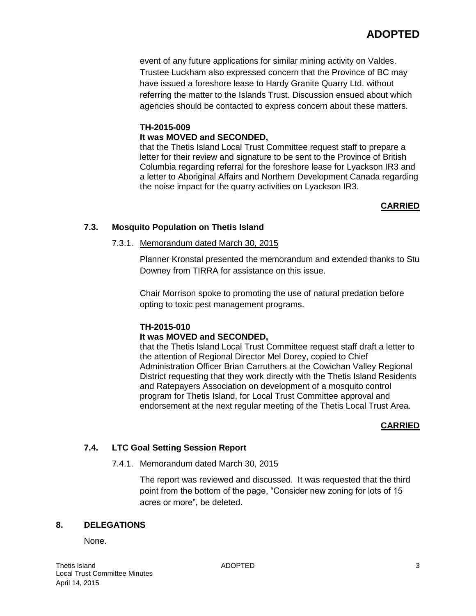event of any future applications for similar mining activity on Valdes. Trustee Luckham also expressed concern that the Province of BC may have issued a foreshore lease to Hardy Granite Quarry Ltd. without referring the matter to the Islands Trust. Discussion ensued about which agencies should be contacted to express concern about these matters.

## **TH-2015-009 It was MOVED and SECONDED,**

that the Thetis Island Local Trust Committee request staff to prepare a letter for their review and signature to be sent to the Province of British Columbia regarding referral for the foreshore lease for Lyackson IR3 and a letter to Aboriginal Affairs and Northern Development Canada regarding the noise impact for the quarry activities on Lyackson IR3.

# **CARRIED**

# **7.3. Mosquito Population on Thetis Island**

## 7.3.1. Memorandum dated March 30, 2015

Planner Kronstal presented the memorandum and extended thanks to Stu Downey from TIRRA for assistance on this issue.

Chair Morrison spoke to promoting the use of natural predation before opting to toxic pest management programs.

## **TH-2015-010**

## **It was MOVED and SECONDED,**

that the Thetis Island Local Trust Committee request staff draft a letter to the attention of Regional Director Mel Dorey, copied to Chief Administration Officer Brian Carruthers at the Cowichan Valley Regional District requesting that they work directly with the Thetis Island Residents and Ratepayers Association on development of a mosquito control program for Thetis Island, for Local Trust Committee approval and endorsement at the next regular meeting of the Thetis Local Trust Area.

## **CARRIED**

# **7.4. LTC Goal Setting Session Report**

## 7.4.1. Memorandum dated March 30, 2015

The report was reviewed and discussed. It was requested that the third point from the bottom of the page, "Consider new zoning for lots of 15 acres or more", be deleted.

## **8. DELEGATIONS**

None.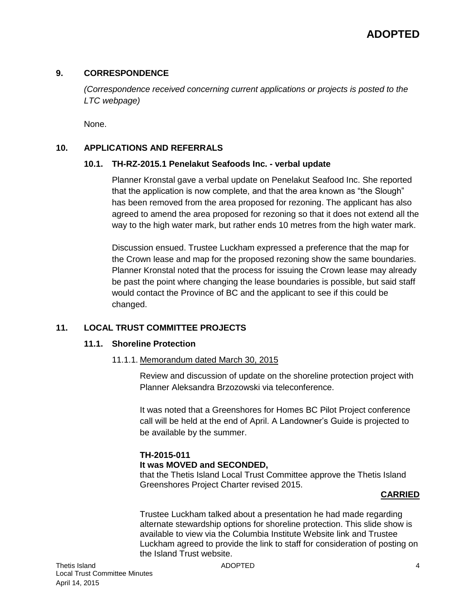#### **9. CORRESPONDENCE**

*(Correspondence received concerning current applications or projects is posted to the LTC webpage)*

None.

#### **10. APPLICATIONS AND REFERRALS**

#### **10.1. TH-RZ-2015.1 Penelakut Seafoods Inc. - verbal update**

Planner Kronstal gave a verbal update on Penelakut Seafood Inc. She reported that the application is now complete, and that the area known as "the Slough" has been removed from the area proposed for rezoning. The applicant has also agreed to amend the area proposed for rezoning so that it does not extend all the way to the high water mark, but rather ends 10 metres from the high water mark.

Discussion ensued. Trustee Luckham expressed a preference that the map for the Crown lease and map for the proposed rezoning show the same boundaries. Planner Kronstal noted that the process for issuing the Crown lease may already be past the point where changing the lease boundaries is possible, but said staff would contact the Province of BC and the applicant to see if this could be changed.

## **11. LOCAL TRUST COMMITTEE PROJECTS**

#### **11.1. Shoreline Protection**

11.1.1. Memorandum dated March 30, 2015

Review and discussion of update on the shoreline protection project with Planner Aleksandra Brzozowski via teleconference.

It was noted that a Greenshores for Homes BC Pilot Project conference call will be held at the end of April. A Landowner's Guide is projected to be available by the summer.

#### **TH-2015-011 It was MOVED and SECONDED,**

that the Thetis Island Local Trust Committee approve the Thetis Island Greenshores Project Charter revised 2015.

#### **CARRIED**

Trustee Luckham talked about a presentation he had made regarding alternate stewardship options for shoreline protection. This slide show is available to view via the Columbia Institute Website link and Trustee Luckham agreed to provide the link to staff for consideration of posting on the Island Trust website.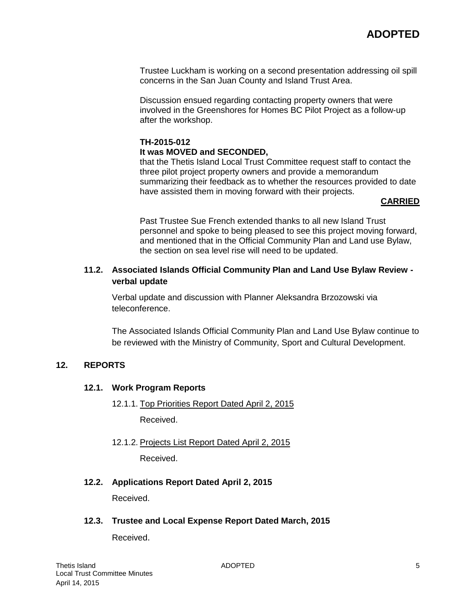Trustee Luckham is working on a second presentation addressing oil spill concerns in the San Juan County and Island Trust Area.

Discussion ensued regarding contacting property owners that were involved in the Greenshores for Homes BC Pilot Project as a follow-up after the workshop.

#### **TH-2015-012 It was MOVED and SECONDED,**

that the Thetis Island Local Trust Committee request staff to contact the three pilot project property owners and provide a memorandum summarizing their feedback as to whether the resources provided to date have assisted them in moving forward with their projects.

#### **CARRIED**

Past Trustee Sue French extended thanks to all new Island Trust personnel and spoke to being pleased to see this project moving forward, and mentioned that in the Official Community Plan and Land use Bylaw, the section on sea level rise will need to be updated.

#### **11.2. Associated Islands Official Community Plan and Land Use Bylaw Review verbal update**

Verbal update and discussion with Planner Aleksandra Brzozowski via teleconference.

The Associated Islands Official Community Plan and Land Use Bylaw continue to be reviewed with the Ministry of Community, Sport and Cultural Development.

#### **12. REPORTS**

#### **12.1. Work Program Reports**

12.1.1. Top Priorities Report Dated April 2, 2015

Received.

12.1.2. Projects List Report Dated April 2, 2015

Received.

## **12.2. Applications Report Dated April 2, 2015**

Received.

#### **12.3. Trustee and Local Expense Report Dated March, 2015**

Received.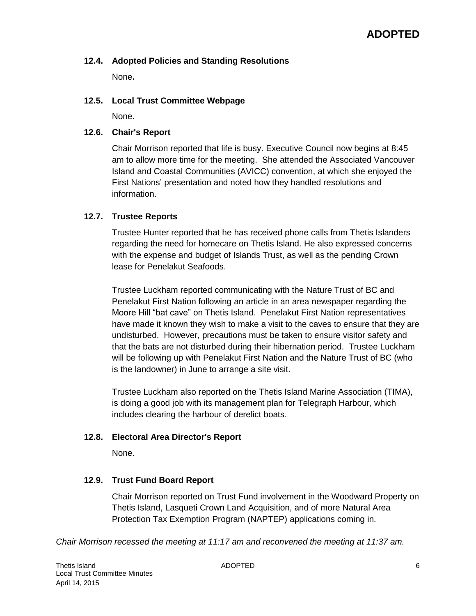#### **12.4. Adopted Policies and Standing Resolutions**

None**.**

#### **12.5. Local Trust Committee Webpage**

None**.**

#### **12.6. Chair's Report**

Chair Morrison reported that life is busy. Executive Council now begins at 8:45 am to allow more time for the meeting. She attended the Associated Vancouver Island and Coastal Communities (AVICC) convention, at which she enjoyed the First Nations' presentation and noted how they handled resolutions and information.

## **12.7. Trustee Reports**

Trustee Hunter reported that he has received phone calls from Thetis Islanders regarding the need for homecare on Thetis Island. He also expressed concerns with the expense and budget of Islands Trust, as well as the pending Crown lease for Penelakut Seafoods.

Trustee Luckham reported communicating with the Nature Trust of BC and Penelakut First Nation following an article in an area newspaper regarding the Moore Hill "bat cave" on Thetis Island. Penelakut First Nation representatives have made it known they wish to make a visit to the caves to ensure that they are undisturbed. However, precautions must be taken to ensure visitor safety and that the bats are not disturbed during their hibernation period. Trustee Luckham will be following up with Penelakut First Nation and the Nature Trust of BC (who is the landowner) in June to arrange a site visit.

Trustee Luckham also reported on the Thetis Island Marine Association (TIMA), is doing a good job with its management plan for Telegraph Harbour, which includes clearing the harbour of derelict boats.

#### **12.8. Electoral Area Director's Report**

None.

## **12.9. Trust Fund Board Report**

Chair Morrison reported on Trust Fund involvement in the Woodward Property on Thetis Island, Lasqueti Crown Land Acquisition, and of more Natural Area Protection Tax Exemption Program (NAPTEP) applications coming in.

*Chair Morrison recessed the meeting at 11:17 am and reconvened the meeting at 11:37 am.*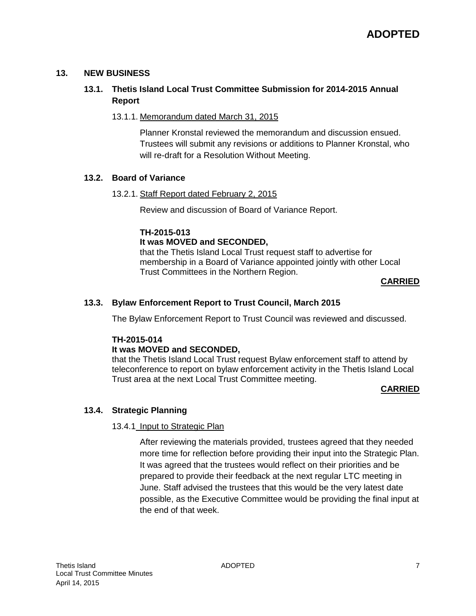#### **13. NEW BUSINESS**

# **13.1. Thetis Island Local Trust Committee Submission for 2014-2015 Annual Report**

#### 13.1.1. Memorandum dated March 31, 2015

Planner Kronstal reviewed the memorandum and discussion ensued. Trustees will submit any revisions or additions to Planner Kronstal, who will re-draft for a Resolution Without Meeting.

#### **13.2. Board of Variance**

#### 13.2.1. Staff Report dated February 2, 2015

Review and discussion of Board of Variance Report.

## **TH-2015-013**

#### **It was MOVED and SECONDED,**

that the Thetis Island Local Trust request staff to advertise for membership in a Board of Variance appointed jointly with other Local Trust Committees in the Northern Region.

#### **CARRIED**

## **13.3. Bylaw Enforcement Report to Trust Council, March 2015**

The Bylaw Enforcement Report to Trust Council was reviewed and discussed.

## **TH-2015-014**

## **It was MOVED and SECONDED,**

that the Thetis Island Local Trust request Bylaw enforcement staff to attend by teleconference to report on bylaw enforcement activity in the Thetis Island Local Trust area at the next Local Trust Committee meeting.

#### **CARRIED**

## **13.4. Strategic Planning**

## 13.4.1 Input to Strategic Plan

After reviewing the materials provided, trustees agreed that they needed more time for reflection before providing their input into the Strategic Plan. It was agreed that the trustees would reflect on their priorities and be prepared to provide their feedback at the next regular LTC meeting in June. Staff advised the trustees that this would be the very latest date possible, as the Executive Committee would be providing the final input at the end of that week.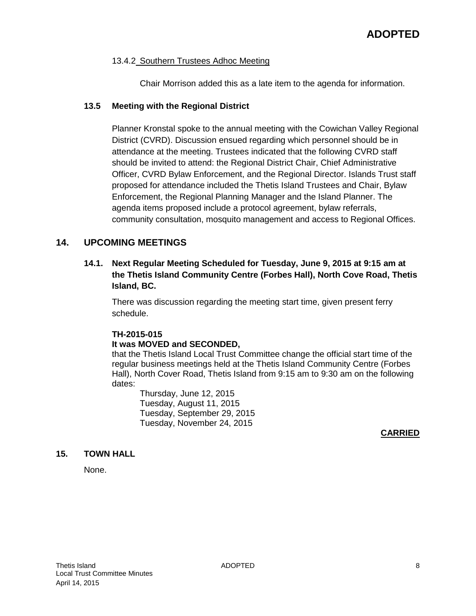#### 13.4.2 Southern Trustees Adhoc Meeting

Chair Morrison added this as a late item to the agenda for information.

#### **13.5 Meeting with the Regional District**

Planner Kronstal spoke to the annual meeting with the Cowichan Valley Regional District (CVRD). Discussion ensued regarding which personnel should be in attendance at the meeting. Trustees indicated that the following CVRD staff should be invited to attend: the Regional District Chair, Chief Administrative Officer, CVRD Bylaw Enforcement, and the Regional Director. Islands Trust staff proposed for attendance included the Thetis Island Trustees and Chair, Bylaw Enforcement, the Regional Planning Manager and the Island Planner. The agenda items proposed include a protocol agreement, bylaw referrals, community consultation, mosquito management and access to Regional Offices.

## **14. UPCOMING MEETINGS**

## **14.1. Next Regular Meeting Scheduled for Tuesday, June 9, 2015 at 9:15 am at the Thetis Island Community Centre (Forbes Hall), North Cove Road, Thetis Island, BC.**

There was discussion regarding the meeting start time, given present ferry schedule.

## **TH-2015-015**

#### **It was MOVED and SECONDED,**

that the Thetis Island Local Trust Committee change the official start time of the regular business meetings held at the Thetis Island Community Centre (Forbes Hall), North Cover Road, Thetis Island from 9:15 am to 9:30 am on the following dates:

Thursday, June 12, 2015 Tuesday, August 11, 2015 Tuesday, September 29, 2015 Tuesday, November 24, 2015

#### **CARRIED**

## **15. TOWN HALL**

None.